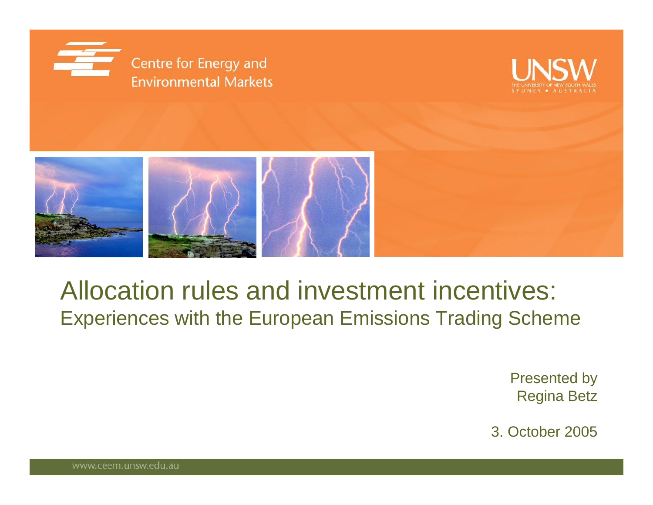





#### Allocation rules and investment incentives: Experiences with the European Emissions Trading Scheme

Presented by Regina Betz

3. October 2005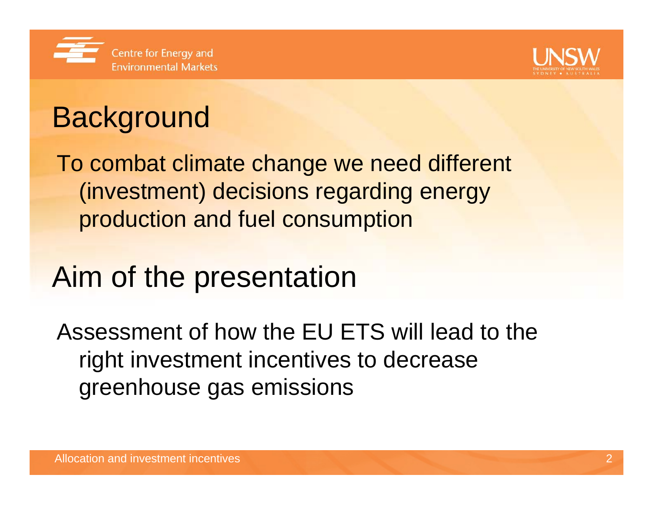



# **Background**

To combat climate change we need different (investment) decisions regarding energy production and fuel consumption

## Aim of the presentation

Assessment of how the EU ETS will lead to the right investment incentives to decrease greenhouse gas emissions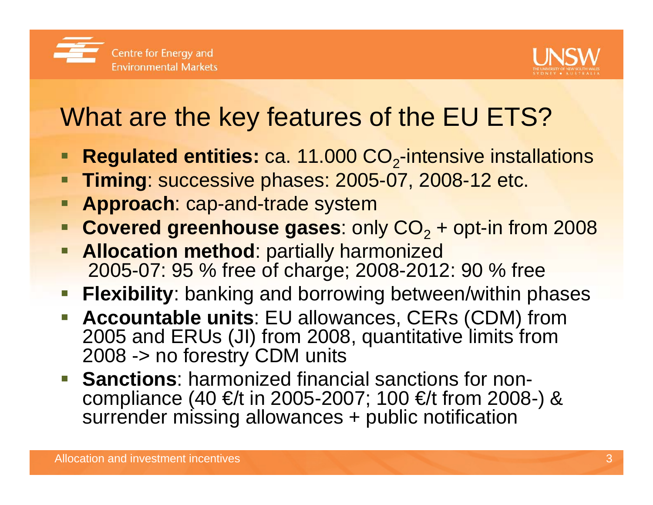



### What are the key features of the EU ETS?

- Regulated entities: ca. 11.000 CO<sub>2</sub>-intensive installations
- **Timing**: successive phases: 2005-07, 2008-12 etc.
- **Approach**: cap-and-trade system
- Covered greenhouse gases: only CO<sub>2</sub> + opt-in from 2008
- **Allocation method:** partially harmonized 2005-07: 95 % free of charge; 2008-2012: 90 % free
- **Flexibility**: banking and borrowing between/within phases
- **Accountable units**: EU allowances, CERs (CDM) from 2005 and ERUs (JI) from 2008, quantitative limits from 2008 -> no forestry CDM units
- **Sanctions**: harmonized financial sanctions for noncompliance (40 €/t in 2005-2007; 100 €/t from 2008-) & surrender missing allowances + public notification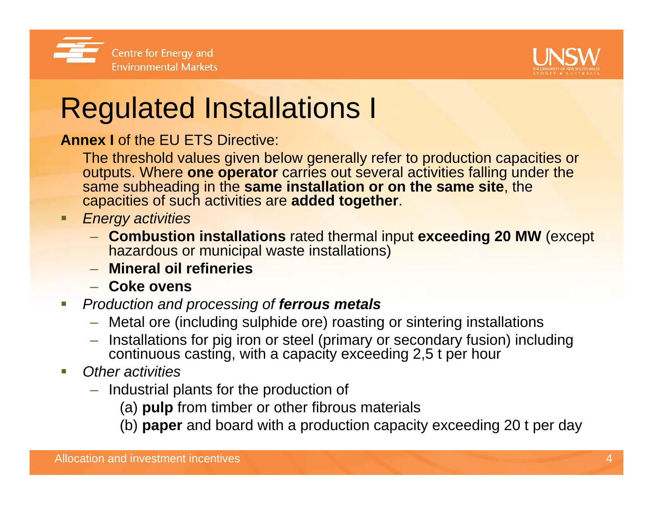



## Regulated Installations I

#### **Annex I** of the EU ETS Directive:

The threshold values given below generally refer to production capacities or outputs. Where **one operator** carries out several activities falling under the same subheading in the **same installation or on the same site**, the capacities of such activities are **added together**.

- *Energy activities*
	- **Combustion installations** rated thermal input **exceeding 20 MW** (except hazardous or municipal waste installations)
	- **Mineral oil refineries**
	- **Coke ovens**
- $\mathcal{L}_{\mathcal{A}}$  *Production and processing of ferrous metals*
	- Metal ore (including sulphide ore) roasting or sintering installations
	- Installations for pig iron or steel (primary or secondary fusion) including continuous casting, with a capacity exceeding 2,5 t per hour
- $\mathcal{L}_{\mathcal{A}}$  *Other activities*
	- Industrial plants for the production of
		- (a) **pulp** from timber or other fibrous materials
		- (b) **paper** and board with a production capacity exceeding 20 t per day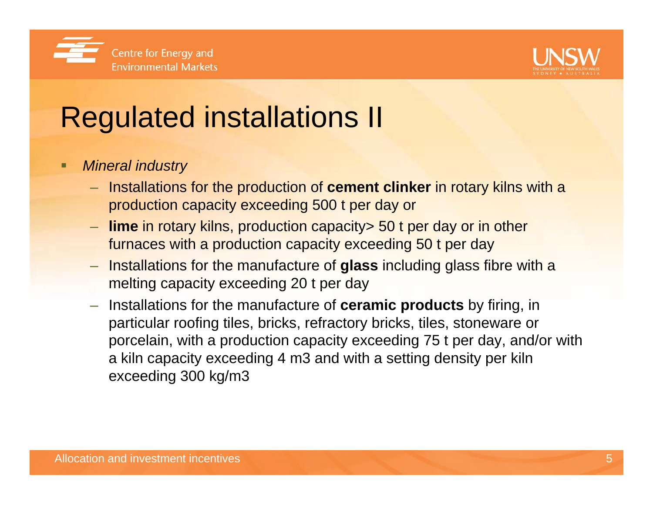



## Regulated installations II

#### Ξ *Mineral industry*

- Installations for the production of **cement clinker** in rotary kilns with a production capacity exceeding 500 t per day or
- **lime** in rotary kilns, production capacity> 50 t per day or in other furnaces with a production capacity exceeding 50 t per day
- Installations for the manufacture of **glass** including glass fibre with a melting capacity exceeding 20 t per day
- Installations for the manufacture of **ceramic products** by firing, in particular roofing tiles, bricks, refractory bricks, tiles, stoneware or porcelain, with a production capacity exceeding 75 t per day, and/or with a kiln capacity exceeding 4 m3 and with a setting density per kiln exceeding 300 kg/m3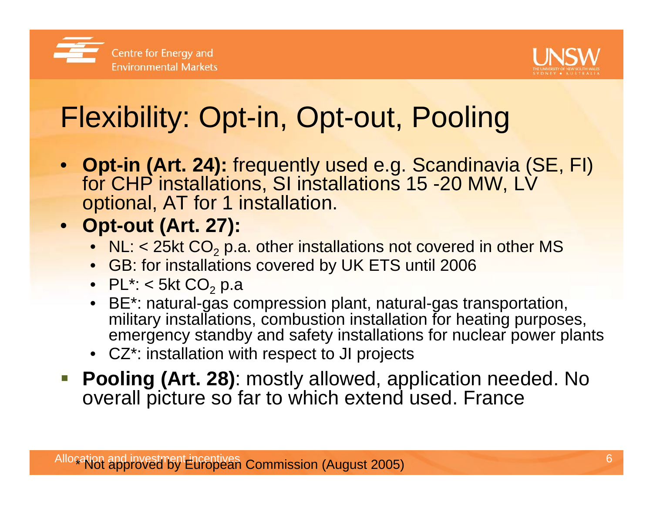



## Flexibility: Opt-in, Opt-out, Pooling

- **Opt-in (Art. 24):** frequently used e.g. Scandinavia (SE, FI) for CHP installations, SI installations 15 -20 MW, LV optional, AT for 1 installation.
- **Opt-out (Art. 27):**
	- NL: < 25kt CO $_2$  p.a. other installations not covered in other MS  $\,$
	- GB: for installations covered by UK ETS until 2006
	- $\bullet~~$  PL\*: < 5kt CO $_2$  p.a
	- BE\*: natural-gas compression plant, natural-gas transportation, military installations, combustion installation for heating purposes, emergency standby and safety installations for nuclear power plants
	- CZ\*: installation with respect to JI projects
- $\overline{\phantom{a}}$  **Pooling (Art. 28)**: mostly allowed, application needed. No overall picture so far to which extend used. France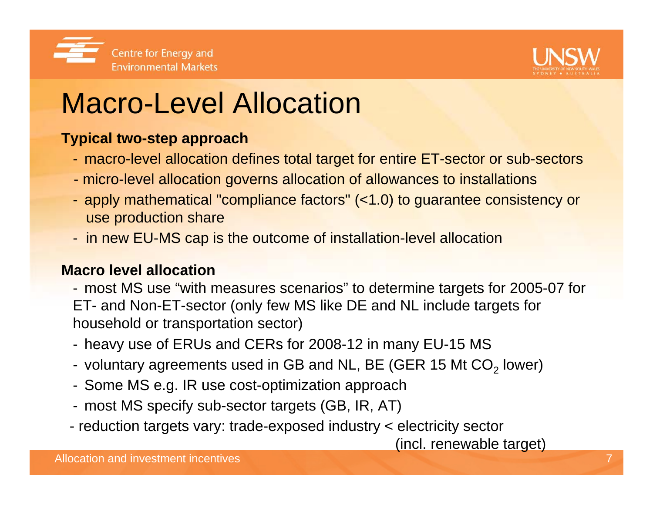



### Macro-Level Allocation

#### **Typical two-step approach**

- macro-level allocation defines total target for entire ET-sector or sub-sectors
- micro-level allocation governs allocation of allowances to installations
- apply mathematical "compliance factors" (<1.0) to guarantee consistency or use production share
- in new EU-MS cap is the outcome of installation-level allocation

#### **Macro level allocation**

- most MS use "with measures scenarios" to determine targets for 2005-07 for ET- and Non-ET-sector (only few MS like DE and NL include targets for household or transportation sector)
- heavy use of ERUs and CERs for 2008-12 in many EU-15 MS
- voluntary agreements used in GB and NL, BE (GER 15 Mt CO $_2$  lower)
- Some MS e.g. IR use cost-optimization approach
- most MS specify sub-sector targets (GB, IR, AT)
- reduction targets vary: trade-exposed industry < electricity sector

(incl. renewable target)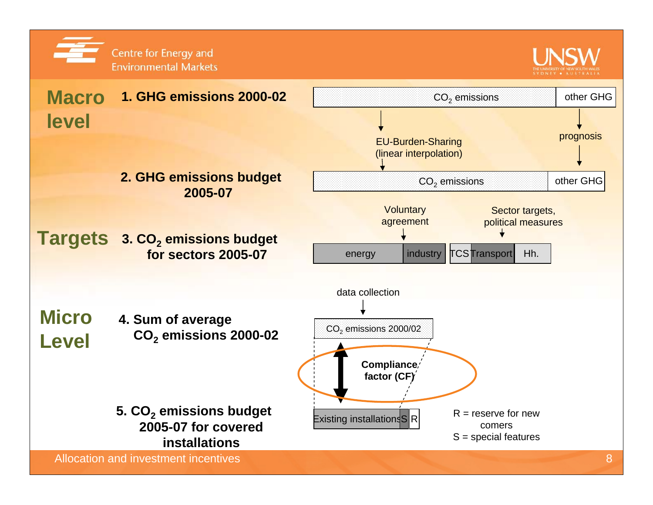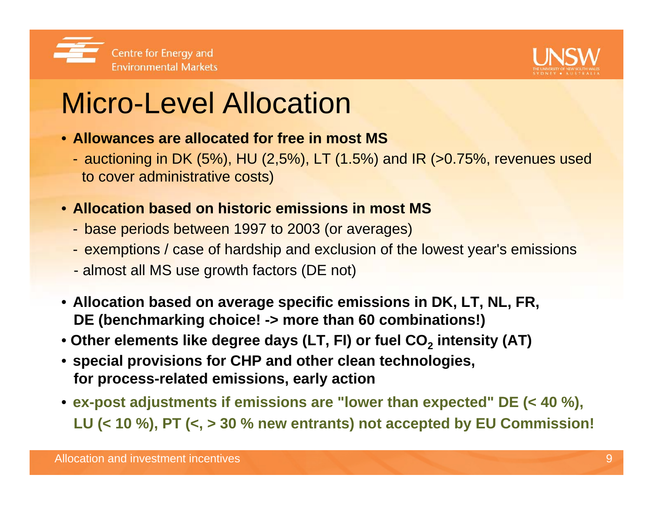



## Micro-Level Allocation

- **Allowances are allocated for free in most MS**
	- auctioning in DK (5%), HU (2,5%), LT (1.5%) and IR (>0.75%, revenues used to cover administrative costs)
- **Allocation based on historic emissions in most MS**
	- base periods between 1997 to 2003 (or averages)
	- exemptions / case of hardship and exclusion of the lowest year's emissions
	- almost all MS use growth factors (DE not)
- **Allocation based on average specific emissions in DK, LT, NL, FR, DE (benchmarking choice! -> more than 60 combinations!)**
- Other elements like degree days (LT, FI) or fuel CO<sub>2</sub> intensity (AT)
- **special provisions for CHP and other clean technologies, for process-related emissions, early action**
- **ex-post adjustments if emissions are "lower than expected" DE (< 40 %), LU (< 10 %), PT (<, > 30 % new entrants) not accepted by EU Commission!**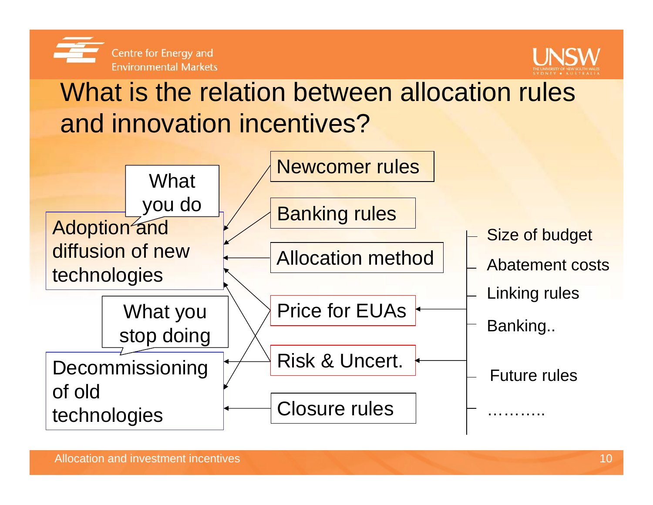



### What is the relation between allocation rules and innovation incentives?

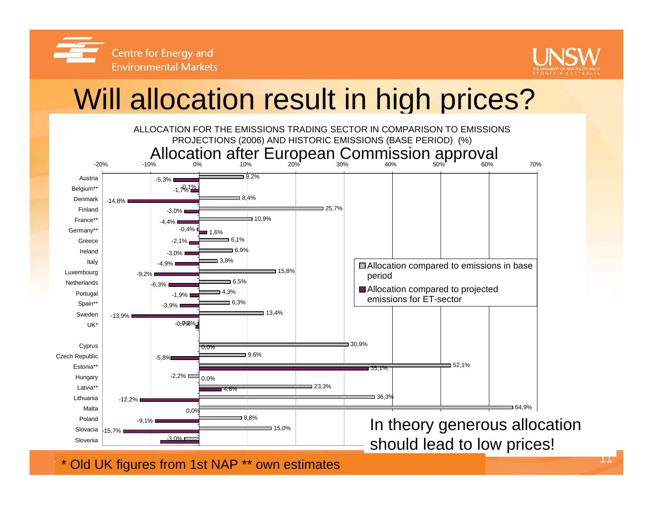



### Will allocation result in high prices?

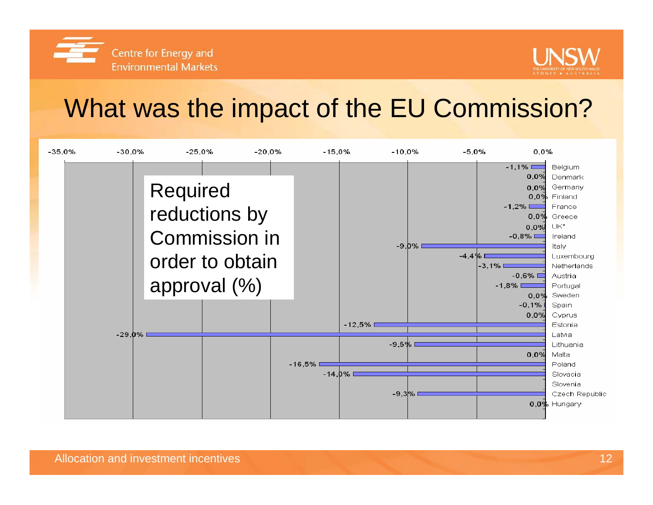

Centre for Energy and **Environmental Markets** 

### What was the impact of the EU Commission?

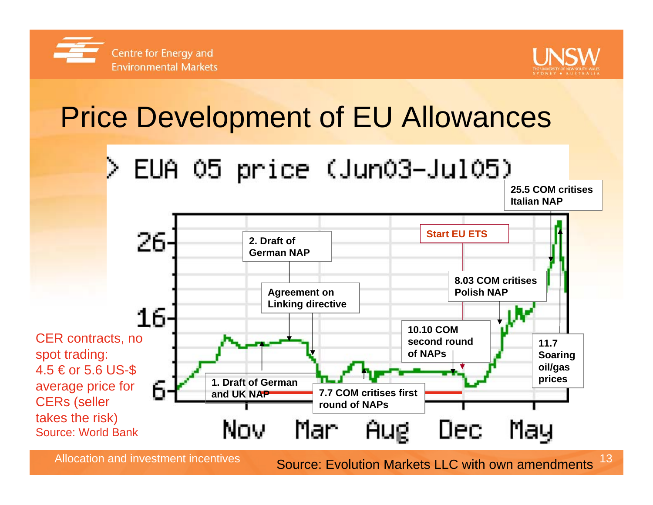



## Price Development of EU Allowances



**25.5 COM critisesItalian NAP**

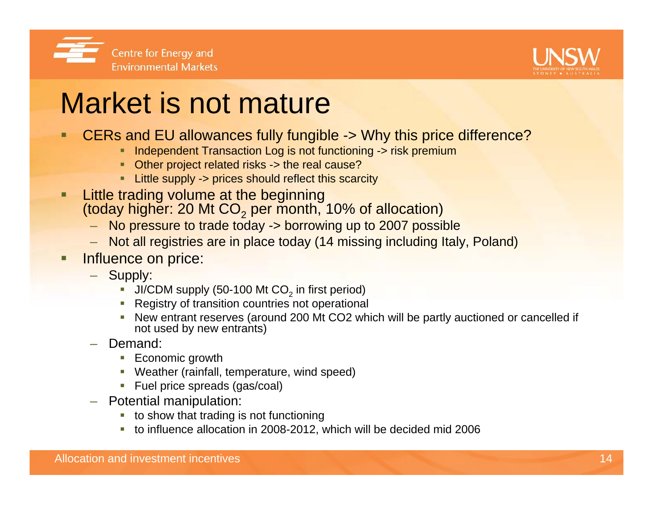



### Market is not mature

- ٠ CERs and EU allowances fully fungible -> Why this price difference?
	- **Independent Transaction Log is not functioning -> risk premium**
	- **DearFY** Other project related risks -> the real cause?
	- Little supply -> prices should reflect this scarcity
- □ Little trading volume at the beginning (today higher: 20 Mt CO $_2$  per month, 10% of allocation)
	- No pressure to trade today -> borrowing up to 2007 possible
	- Not all registries are in place today (14 missing including Italy, Poland)
- п Influence on price:
	- Supply:
		- Ш  $\textcolor{red}{\bullet}$  JI/CDM supply (50-100 Mt CO $_2$  in first period)
		- П Registry of transition countries not operational
		- New entrant reserves (around 200 Mt CO2 which will be partly auctioned or cancelled if not used by new entrants)
	- Demand:
		- Economic growth
		- Weather (rainfall, temperature, wind speed)
		- **Fuel price spreads (gas/coal)**
	- Potential manipulation:
		- to show that trading is not functioning
		- to influence allocation in 2008-2012, which will be decided mid 2006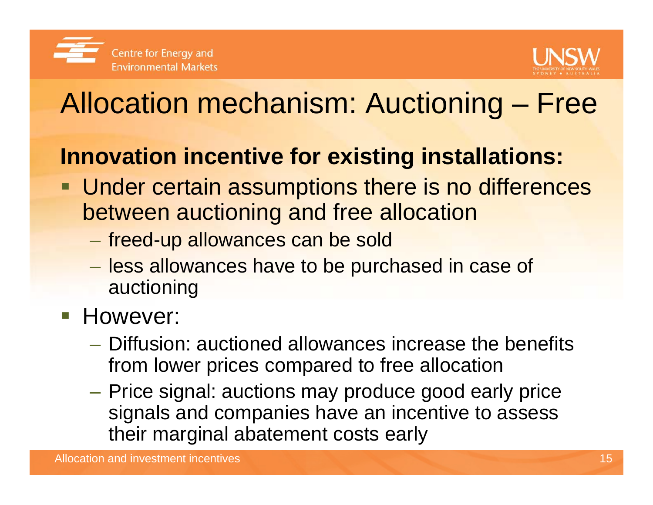

# Allocation mechanism: Auctioning – Free

#### **Innovation incentive for existing installations:**

- **Under certain assumptions there is no differences** between auctioning and free allocation
	- freed-up allowances can be sold
	- less allowances have to be purchased in case of auctioning
- **However:** 
	- Diffusion: auctioned allowances increase the benefits from lower prices compared to free allocation
	- $-$  Price signal: auctions may produce good early price signals and companies have an incentive to assess their marginal abatement costs early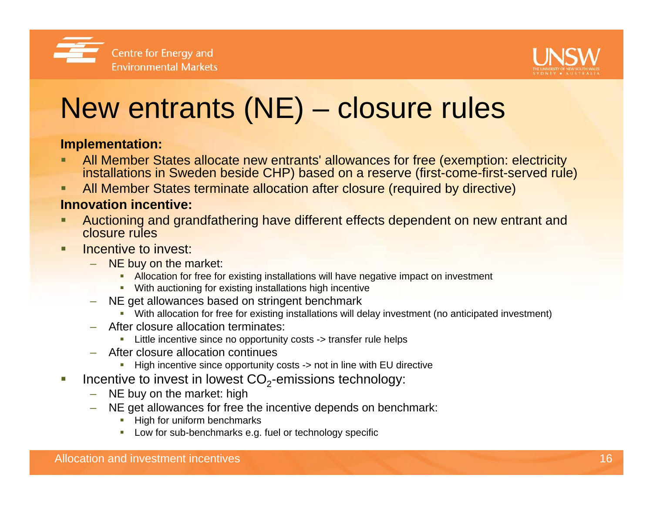



## New entrants (NE) – closure rules

#### **Implementation:**

- └ All Member States allocate new entrants' allowances for free (exemption: electricity installations in Sweden beside CHP) based on a reserve (first-come-first-served rule)
- Г All Member States terminate allocation after closure (required by directive)

#### **Innovation incentive:**

- └ Auctioning and grandfathering have different effects dependent on new entrant and closure rules
- п Incentive to invest:
	- NE buy on the market:
		- **Allocation for free for existing installations will have negative impact on investment**
		- With auctioning for existing installations high incentive
	- NE get allowances based on stringent benchmark
		- With allocation for free for existing installations will delay investment (no anticipated investment)
	- After closure allocation terminates:
		- **EXALLE INCOTE:** Little incentive since no opportunity costs -> transfer rule helps
	- After closure allocation continues
		- Г High incentive since opportunity costs -> not in line with EU directive
- $\Box$ Incentive to invest in lowest  $CO<sub>2</sub>$ -emissions technology:
	- –NE buy on the market: high
	- NE get allowances for free the incentive depends on benchmark:
		- Г High for uniform benchmarks
		- Low for sub-benchmarks e.g. fuel or technology specific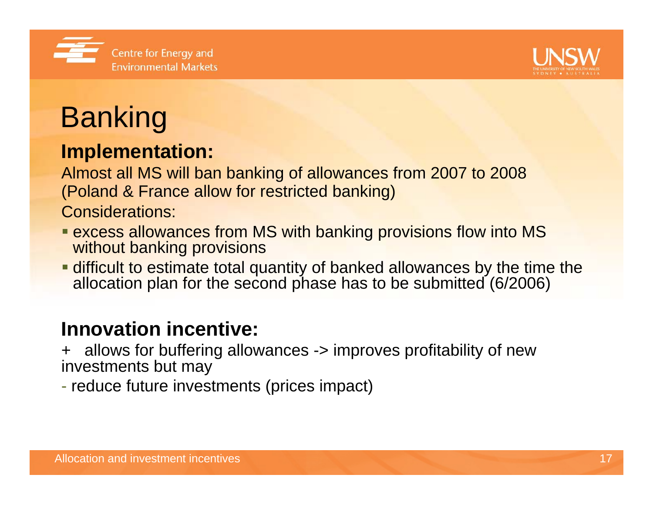



# Banking

#### **Implementation:**

Almost all MS will ban banking of allowances from 2007 to 2008 (Poland & France allow for restricted banking) Considerations:

- **Excess allowances from MS with banking provisions flow into MS** without banking provisions
- difficult to estimate total quantity of banked allowances by the time the allocation plan for the second phase has to be submitted (6/2006)

#### **Innovation incentive:**

+ allows for buffering allowances -> improves profitability of new investments but may

- reduce future investments (prices impact)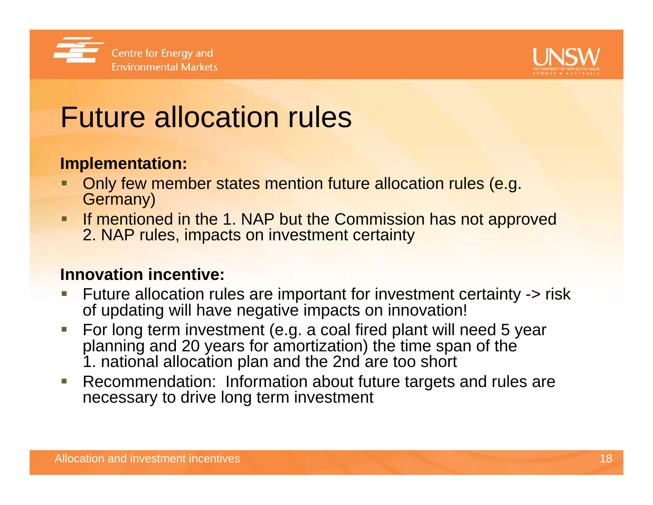



### Future allocation rules

#### **Implementation:**

- L Only few member states mention future allocation rules (e.g. Germany)
- **If mentioned in the 1. NAP but the Commission has not approved** 2. NAP rules, impacts on investment certainty

#### **Innovation incentive:**

- F Future allocation rules are important for investment certainty -> risk of updating will have negative impacts on innovation!
- l. For long term investment (e.g. a coal fired plant will need 5 year planning and 20 years for amortization) the time span of the 1. national allocation plan and the 2nd are too short
- F Recommendation: Information about future targets and rules are necessary to drive long term investment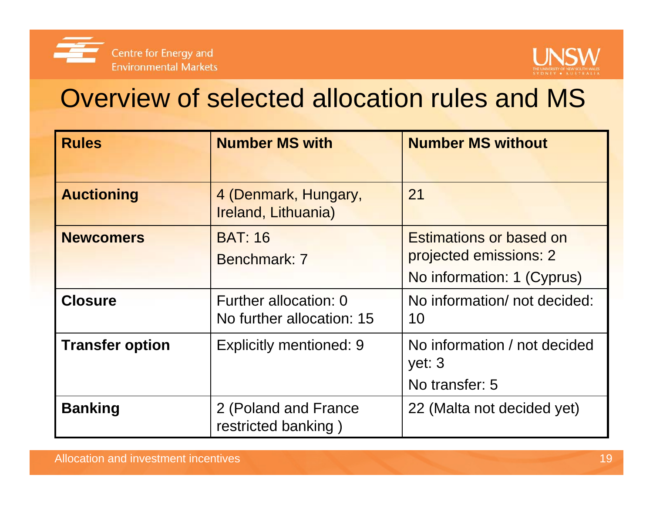



#### Overview of selected allocation rules and MS

| <b>Rules</b>           | <b>Number MS with</b>                              | <b>Number MS without</b>                                                               |
|------------------------|----------------------------------------------------|----------------------------------------------------------------------------------------|
| <b>Auctioning</b>      | 4 (Denmark, Hungary,<br>Ireland, Lithuania)        | 21                                                                                     |
| <b>Newcomers</b>       | <b>BAT: 16</b><br>Benchmark: 7                     | <b>Estimations or based on</b><br>projected emissions: 2<br>No information: 1 (Cyprus) |
| <b>Closure</b>         | Further allocation: 0<br>No further allocation: 15 | No information/ not decided:<br>10                                                     |
| <b>Transfer option</b> | <b>Explicitly mentioned: 9</b>                     | No information / not decided<br>yet: 3<br>No transfer: 5                               |
| <b>Banking</b>         | 2 (Poland and France<br>restricted banking)        | 22 (Malta not decided yet)                                                             |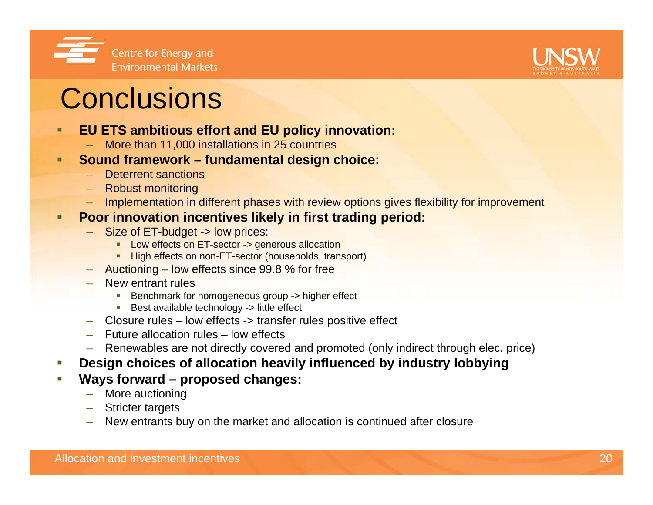



### **Conclusions**

#### п **EU ETS ambitious effort and EU policy innovation:**

- More than 11,000 installations in 25 countries
- Г **Sound framework – fundamental design choice:**
	- Deterrent sanctions
	- Robust monitoring
	- Implementation in different phases with review options gives flexibility for improvement

#### п **Poor innovation incentives likely in first trading period:**

- Size of ET-budget -> low prices:
	- **Low effects on ET-sector -> generous allocation**
	- High effects on non-ET-sector (households, transport)
- Auctioning low effects since 99.8 % for free
- New entrant rules
	- **Benchmark for homogeneous group -> higher effect**
	- Best available technology -> little effect
- Closure rules low effects -> transfer rules positive effect
- Future allocation rules low effects
- Renewables are not directly covered and promoted (only indirect through elec. price)
- П **Design choices of allocation heavily influenced by industry lobbying**
- H **Ways forward – proposed changes:**
	- More auctioning
	- Stricter targets
	- New entrants buy on the market and allocation is continued after closure